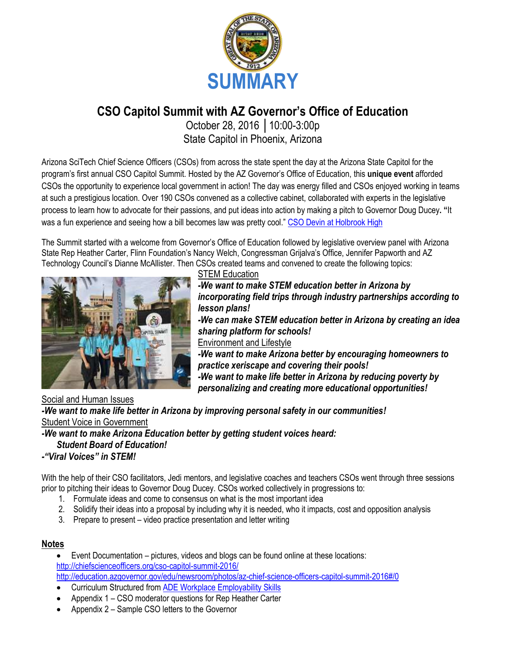

### **CSO Capitol Summit with AZ Governor's Office of Education**

October 28, 2016 │10:00-3:00p State Capitol in Phoenix, Arizona

Arizona SciTech Chief Science Officers (CSOs) from across the state spent the day at the Arizona State Capitol for the program's first annual CSO Capitol Summit. Hosted by the AZ Governor's Office of Education, this **unique event** afforded CSOs the opportunity to experience local government in action! The day was energy filled and CSOs enjoyed working in teams at such a prestigious location. Over 190 CSOs convened as a collective cabinet, collaborated with experts in the legislative process to learn how to advocate for their passions, and put ideas into action by making a pitch to Governor Doug Ducey**. "**It was a fun experience and seeing how a bill becomes law was pretty cool." [CSO Devin at Holbrook High](http://chiefscienceofficers.org/cso-cabinet/devin_holbrookhschiefscienceofficers-org/)

The Summit started with a welcome from Governor's Office of Education followed by legislative overview panel with Arizona State Rep Heather Carter, Flinn Foundation's Nancy Welch, Congressman Grijalva's Office, Jennifer Papworth and AZ Technology Council's Dianne McAllister. Then CSOs created teams and convened to create the following topics:



**STEM Education** 

*-We want to make STEM education better in Arizona by incorporating field trips through industry partnerships according to lesson plans! -We can make STEM education better in Arizona by creating an idea sharing platform for schools!* Environment and Lifestyle *-We want to make Arizona better by encouraging homeowners to practice xeriscape and covering their pools! -We want to make life better in Arizona by reducing poverty by personalizing and creating more educational opportunities!*

Social and Human Issues

*-We want to make life better in Arizona by improving personal safety in our communities!* Student Voice in Government

#### *-We want to make Arizona Education better by getting student voices heard:*

#### *Student Board of Education!*

#### *-"Viral Voices" in STEM!*

With the help of their CSO facilitators, Jedi mentors, and legislative coaches and teachers CSOs went through three sessions prior to pitching their ideas to Governor Doug Ducey. CSOs worked collectively in progressions to:

- 1. Formulate ideas and come to consensus on what is the most important idea
- 2. Solidify their ideas into a proposal by including why it is needed, who it impacts, cost and opposition analysis
- 3. Prepare to present video practice presentation and letter writing

#### **Notes**

 Event Documentation – pictures, videos and blogs can be found online at these locations: <http://chiefscienceofficers.org/cso-capitol-summit-2016/> <http://education.azgovernor.gov/edu/newsroom/photos/az-chief-science-officers-capitol-summit-2016#/0>

- Curriculum Structured from [ADE Workplace Employability Skills](http://www.azed.gov/career-technical-education/files/2013/07/workplace-employability-skills-standards.pdf)
- Appendix 1 CSO moderator questions for Rep Heather Carter
- Appendix 2 Sample CSO letters to the Governor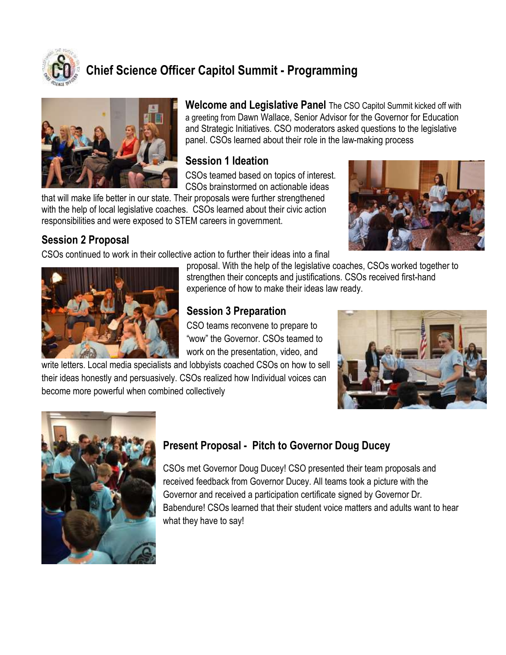

### **Chief Science Officer Capitol Summit - Programming**



**Welcome and Legislative Panel** The CSO Capitol Summit kicked off with a greeting from Dawn Wallace, Senior Advisor for the Governor for Education and Strategic Initiatives. CSO moderators asked questions to the legislative panel. CSOs learned about their role in the law-making process

#### **Session 1 Ideation**

CSOs teamed based on topics of interest. CSOs brainstormed on actionable ideas

that will make life better in our state. Their proposals were further strengthened with the help of local legislative coaches. CSOs learned about their civic action responsibilities and were exposed to STEM careers in government.

#### **Session 2 Proposal**

CSOs continued to work in their collective action to further their ideas into a final





proposal. With the help of the legislative coaches, CSOs worked together to strengthen their concepts and justifications. CSOs received first-hand experience of how to make their ideas law ready.

#### **Session 3 Preparation**

CSO teams reconvene to prepare to "wow" the Governor. CSOs teamed to work on the presentation, video, and

write letters. Local media specialists and lobbyists coached CSOs on how to sell their ideas honestly and persuasively. CSOs realized how Individual voices can become more powerful when combined collectively





### **Present Proposal - Pitch to Governor Doug Ducey**

CSOs met Governor Doug Ducey! CSO presented their team proposals and received feedback from Governor Ducey. All teams took a picture with the Governor and received a participation certificate signed by Governor Dr. Babendure! CSOs learned that their student voice matters and adults want to hear what they have to say!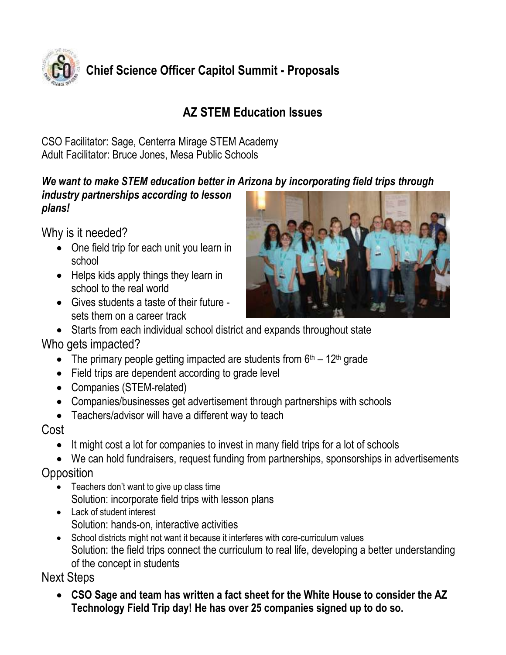

### **AZ STEM Education Issues**

CSO Facilitator: Sage, Centerra Mirage STEM Academy Adult Facilitator: Bruce Jones, Mesa Public Schools

### *We want to make STEM education better in Arizona by incorporating field trips through*

*industry partnerships according to lesson plans!*

Why is it needed?

- One field trip for each unit you learn in school
- Helps kids apply things they learn in school to the real world
- Gives students a taste of their future sets them on a career track



Starts from each individual school district and expands throughout state

### Who gets impacted?

- The primary people getting impacted are students from  $6<sup>th</sup> 12<sup>th</sup>$  grade
- Field trips are dependent according to grade level
- Companies (STEM-related)
- Companies/businesses get advertisement through partnerships with schools
- Teachers/advisor will have a different way to teach

### Cost

- It might cost a lot for companies to invest in many field trips for a lot of schools
- We can hold fundraisers, request funding from partnerships, sponsorships in advertisements

### **Opposition**

- Teachers don't want to give up class time Solution: incorporate field trips with lesson plans
- Lack of student interest Solution: hands-on, interactive activities
- School districts might not want it because it interferes with core-curriculum values Solution: the field trips connect the curriculum to real life, developing a better understanding of the concept in students

### Next Steps

 **CSO Sage and team has written a fact sheet for the White House to consider the AZ Technology Field Trip day! He has over 25 companies signed up to do so.**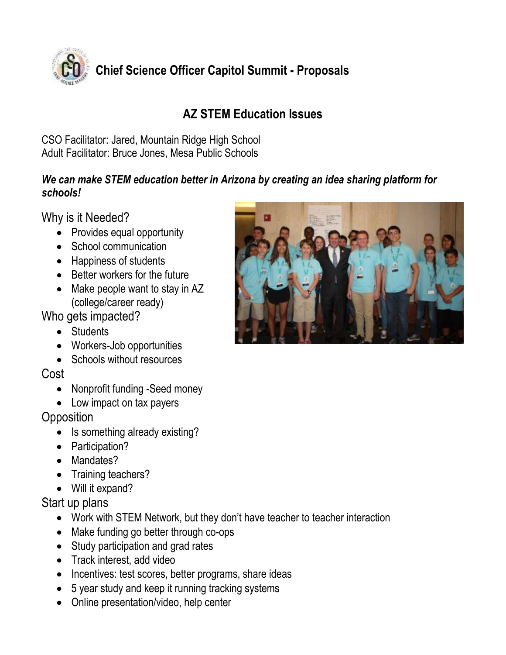

### **AZ STEM Education Issues**

CSO Facilitator: Jared, Mountain Ridge High School Adult Facilitator: Bruce Jones, Mesa Public Schools

#### *We can make STEM education better in Arizona by creating an idea sharing platform for schools!*

Why is it Needed?

- Provides equal opportunity
- School communication
- Happiness of students
- Better workers for the future
- Make people want to stay in AZ (college/career ready)

Who gets impacted?

- Students
- Workers-Job opportunities
- Schools without resources

### Cost

- Nonprofit funding -Seed money
- Low impact on tax payers

### **Opposition**

- Is something already existing?
- Participation?
- Mandates?
- Training teachers?
- Will it expand?

### Start up plans

- Work with STEM Network, but they don't have teacher to teacher interaction
- Make funding go better through co-ops
- Study participation and grad rates
- Track interest, add video
- Incentives: test scores, better programs, share ideas
- 5 year study and keep it running tracking systems
- Online presentation/video, help center

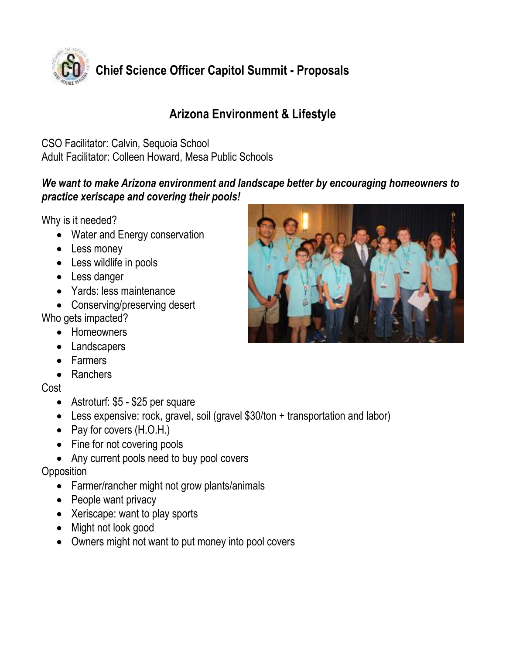

### **Arizona Environment & Lifestyle**

CSO Facilitator: Calvin, Sequoia School Adult Facilitator: Colleen Howard, Mesa Public Schools

#### *We want to make Arizona environment and landscape better by encouraging homeowners to practice xeriscape and covering their pools!*

Why is it needed?

- Water and Energy conservation
- Less money
- Less wildlife in pools
- Less danger
- Yards: less maintenance
- Conserving/preserving desert Who gets impacted?
	- Homeowners
	- Landscapers
	- Farmers
	- Ranchers

Cost

- Astroturf: \$5 \$25 per square
- Less expensive: rock, gravel, soil (gravel \$30/ton + transportation and labor)
- Pay for covers (H.O.H.)
- Fine for not covering pools
- Any current pools need to buy pool covers

**Opposition** 

- Farmer/rancher might not grow plants/animals
- People want privacy
- Xeriscape: want to play sports
- Might not look good
- Owners might not want to put money into pool covers

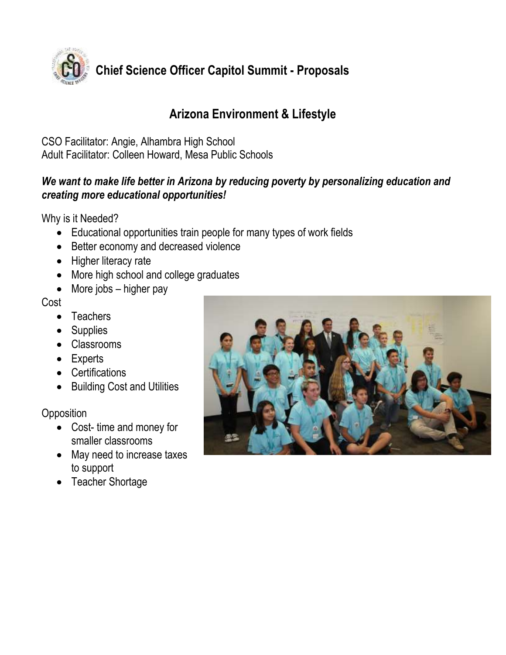

### **Arizona Environment & Lifestyle**

CSO Facilitator: Angie, Alhambra High School Adult Facilitator: Colleen Howard, Mesa Public Schools

#### *We want to make life better in Arizona by reducing poverty by personalizing education and creating more educational opportunities!*

Why is it Needed?

- Educational opportunities train people for many types of work fields
- Better economy and decreased violence
- Higher literacy rate
- More high school and college graduates
- $\bullet$  More jobs higher pay

Cost

- Teachers
- Supplies
- Classrooms
- Experts
- Certifications
- Building Cost and Utilities

**Opposition** 

- Cost- time and money for smaller classrooms
- May need to increase taxes to support
- Teacher Shortage

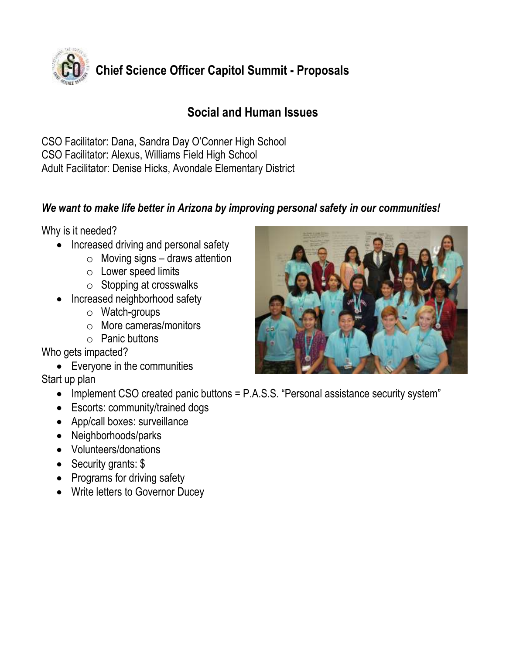

### **Social and Human Issues**

CSO Facilitator: Dana, Sandra Day O'Conner High School CSO Facilitator: Alexus, Williams Field High School Adult Facilitator: Denise Hicks, Avondale Elementary District

#### *We want to make life better in Arizona by improving personal safety in our communities!*

Why is it needed?

- Increased driving and personal safety
	- $\circ$  Moving signs draws attention
	- o Lower speed limits
	- $\circ$  Stopping at crosswalks
- Increased neighborhood safety
	- o Watch-groups
	- o More cameras/monitors
	- $\circ$  Panic buttons

Who gets impacted?

Everyone in the communities

Start up plan

- Implement CSO created panic buttons = P.A.S.S. "Personal assistance security system"
- Escorts: community/trained dogs
- App/call boxes: surveillance
- Neighborhoods/parks
- Volunteers/donations
- Security grants: \$
- Programs for driving safety
- Write letters to Governor Ducey

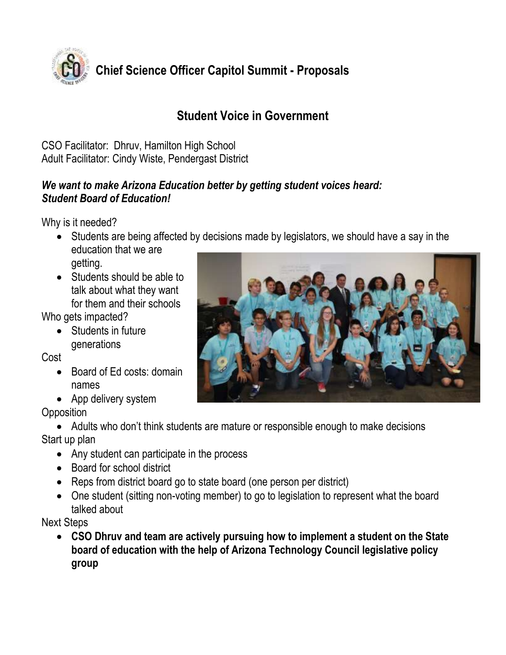

### **Student Voice in Government**

CSO Facilitator: Dhruv, Hamilton High School Adult Facilitator: Cindy Wiste, Pendergast District

#### *We want to make Arizona Education better by getting student voices heard: Student Board of Education!*

Why is it needed?

- Students are being affected by decisions made by legislators, we should have a say in the education that we are getting.
- Students should be able to talk about what they want for them and their schools

Who gets impacted?

• Students in future generations

Cost

- Board of Ed costs: domain names
- App delivery system

**Opposition** 

 Adults who don't think students are mature or responsible enough to make decisions Start up plan

- Any student can participate in the process
- Board for school district
- Reps from district board go to state board (one person per district)
- One student (sitting non-voting member) to go to legislation to represent what the board talked about

Next Steps

 **CSO Dhruv and team are actively pursuing how to implement a student on the State board of education with the help of Arizona Technology Council legislative policy group** 

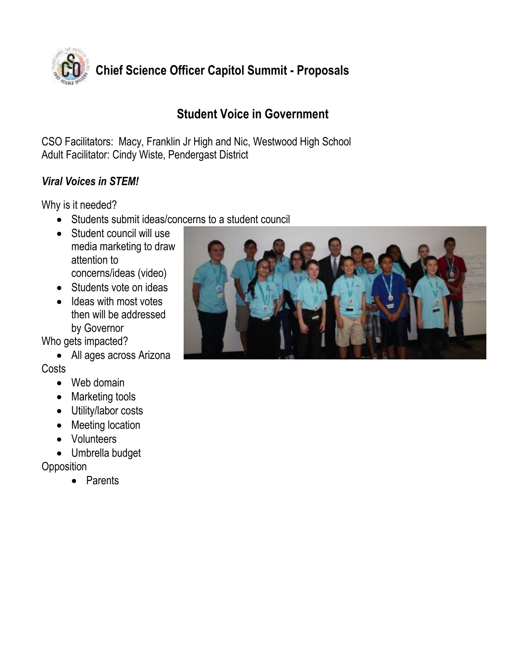

### **Student Voice in Government**

CSO Facilitators: Macy, Franklin Jr High and Nic, Westwood High School Adult Facilitator: Cindy Wiste, Pendergast District

#### *Viral Voices in STEM!*

Why is it needed?

- Students submit ideas/concerns to a student council
- Student council will use media marketing to draw attention to concerns/ideas (video)
- Students vote on ideas
- Ideas with most votes then will be addressed by Governor

Who gets impacted?

• All ages across Arizona

**Costs** 

- Web domain
- Marketing tools
- Utility/labor costs
- Meeting location
- Volunteers
- Umbrella budget

**Opposition** 

• Parents

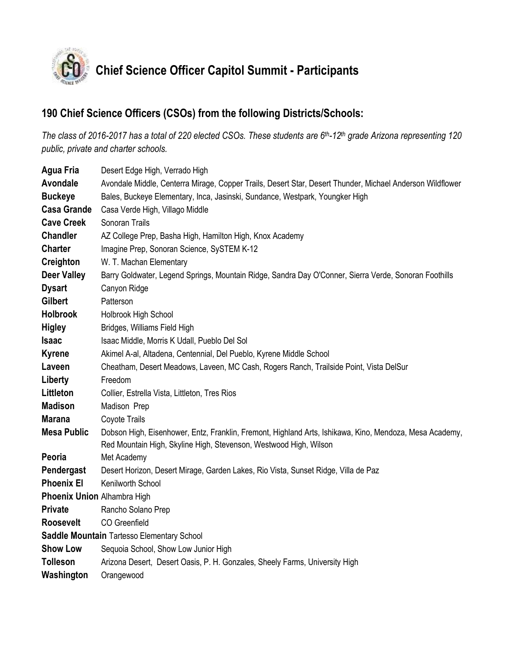

# **Chief Science Officer Capitol Summit - Participants**

#### **190 Chief Science Officers (CSOs) from the following Districts/Schools:**

*The class of 2016-2017 has a total of 220 elected CSOs. These students are 6 th-12th grade Arizona representing 120 public, private and charter schools.* 

| <b>Agua Fria</b>                           | Desert Edge High, Verrado High                                                                            |  |  |
|--------------------------------------------|-----------------------------------------------------------------------------------------------------------|--|--|
| Avondale                                   | Avondale Middle, Centerra Mirage, Copper Trails, Desert Star, Desert Thunder, Michael Anderson Wildflower |  |  |
| <b>Buckeye</b>                             | Bales, Buckeye Elementary, Inca, Jasinski, Sundance, Westpark, Youngker High                              |  |  |
| <b>Casa Grande</b>                         | Casa Verde High, Villago Middle                                                                           |  |  |
| <b>Cave Creek</b>                          | Sonoran Trails                                                                                            |  |  |
| <b>Chandler</b>                            | AZ College Prep, Basha High, Hamilton High, Knox Academy                                                  |  |  |
| <b>Charter</b>                             | Imagine Prep, Sonoran Science, SySTEM K-12                                                                |  |  |
| Creighton                                  | W. T. Machan Elementary                                                                                   |  |  |
| <b>Deer Valley</b>                         | Barry Goldwater, Legend Springs, Mountain Ridge, Sandra Day O'Conner, Sierra Verde, Sonoran Foothills     |  |  |
| <b>Dysart</b>                              | Canyon Ridge                                                                                              |  |  |
| <b>Gilbert</b>                             | Patterson                                                                                                 |  |  |
| <b>Holbrook</b>                            | Holbrook High School                                                                                      |  |  |
| <b>Higley</b>                              | Bridges, Williams Field High                                                                              |  |  |
| <b>Isaac</b>                               | Isaac Middle, Morris K Udall, Pueblo Del Sol                                                              |  |  |
| <b>Kyrene</b>                              | Akimel A-al, Altadena, Centennial, Del Pueblo, Kyrene Middle School                                       |  |  |
| Laveen                                     | Cheatham, Desert Meadows, Laveen, MC Cash, Rogers Ranch, Trailside Point, Vista DelSur                    |  |  |
| Liberty                                    | Freedom                                                                                                   |  |  |
| Littleton                                  | Collier, Estrella Vista, Littleton, Tres Rios                                                             |  |  |
| <b>Madison</b>                             | Madison Prep                                                                                              |  |  |
| <b>Marana</b>                              | Coyote Trails                                                                                             |  |  |
| <b>Mesa Public</b>                         | Dobson High, Eisenhower, Entz, Franklin, Fremont, Highland Arts, Ishikawa, Kino, Mendoza, Mesa Academy,   |  |  |
|                                            | Red Mountain High, Skyline High, Stevenson, Westwood High, Wilson                                         |  |  |
| Peoria                                     | Met Academy                                                                                               |  |  |
| Pendergast                                 | Desert Horizon, Desert Mirage, Garden Lakes, Rio Vista, Sunset Ridge, Villa de Paz                        |  |  |
| <b>Phoenix El</b>                          | Kenilworth School                                                                                         |  |  |
| Phoenix Union Alhambra High                |                                                                                                           |  |  |
| <b>Private</b>                             | Rancho Solano Prep                                                                                        |  |  |
| <b>Roosevelt</b>                           | CO Greenfield                                                                                             |  |  |
| Saddle Mountain Tartesso Elementary School |                                                                                                           |  |  |
| <b>Show Low</b>                            | Sequoia School, Show Low Junior High                                                                      |  |  |
| <b>Tolleson</b>                            | Arizona Desert, Desert Oasis, P. H. Gonzales, Sheely Farms, University High                               |  |  |
| Washington                                 | Orangewood                                                                                                |  |  |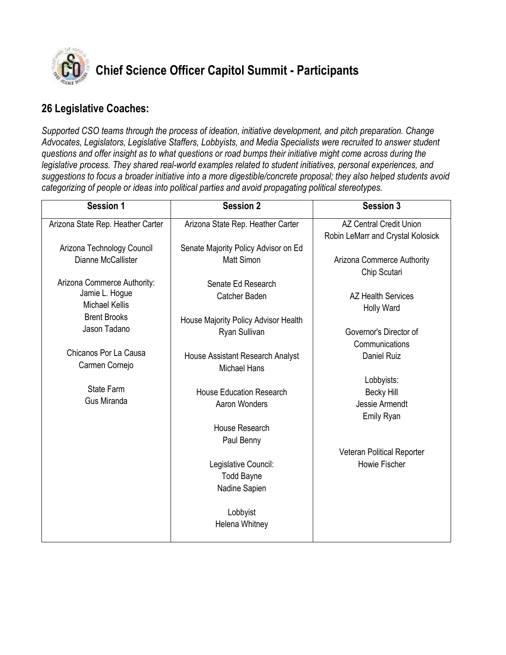

## **Chief Science Officer Capitol Summit - Participants**

#### **26 Legislative Coaches:**

*Supported CSO teams through the process of ideation, initiative development, and pitch preparation. Change Advocates, Legislators, Legislative Staffers, Lobbyists, and Media Specialists were recruited to answer student questions and offer insight as to what questions or road bumps their initiative might come across during the legislative process. They shared real-world examples related to student initiatives, personal experiences, and suggestions to focus a broader initiative into a more digestible/concrete proposal; they also helped students avoid categorizing of people or ideas into political parties and avoid propagating political stereotypes.*

| <b>Session 1</b>                  | <b>Session 2</b>                     | <b>Session 3</b>                  |
|-----------------------------------|--------------------------------------|-----------------------------------|
| Arizona State Rep. Heather Carter | Arizona State Rep. Heather Carter    | <b>AZ Central Credit Union</b>    |
|                                   |                                      | Robin LeMarr and Crystal Kolosick |
| Arizona Technology Council        | Senate Majority Policy Advisor on Ed |                                   |
| Dianne McCallister                | <b>Matt Simon</b>                    | Arizona Commerce Authority        |
|                                   |                                      | Chip Scutari                      |
| Arizona Commerce Authority:       | Senate Ed Research                   |                                   |
| Jamie L. Hogue                    | Catcher Baden                        | <b>AZ Health Services</b>         |
| <b>Michael Kellis</b>             |                                      | Holly Ward                        |
| <b>Brent Brooks</b>               | House Majority Policy Advisor Health |                                   |
| Jason Tadano                      | Ryan Sullivan                        | Governor's Director of            |
|                                   |                                      | Communications                    |
| Chicanos Por La Causa             | House Assistant Research Analyst     | <b>Daniel Ruiz</b>                |
| Carmen Cornejo                    | <b>Michael Hans</b>                  |                                   |
|                                   |                                      | Lobbyists:                        |
| State Farm                        | <b>House Education Research</b>      | <b>Becky Hill</b>                 |
| Gus Miranda                       | Aaron Wonders                        | Jessie Armendt                    |
|                                   |                                      | Emily Ryan                        |
|                                   | House Research                       |                                   |
|                                   | Paul Benny                           |                                   |
|                                   |                                      | Veteran Political Reporter        |
|                                   | Legislative Council:                 | Howie Fischer                     |
|                                   | <b>Todd Bayne</b>                    |                                   |
|                                   | Nadine Sapien                        |                                   |
|                                   |                                      |                                   |
|                                   | Lobbyist                             |                                   |
|                                   | Helena Whitney                       |                                   |
|                                   |                                      |                                   |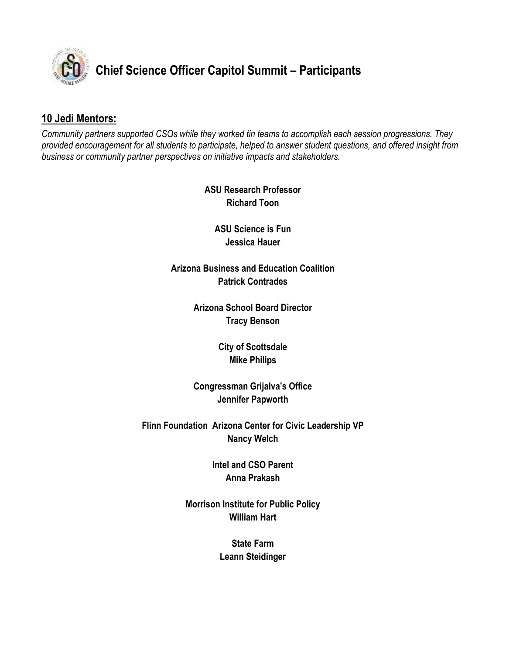

### **Chief Science Officer Capitol Summit – Participants**

#### **10 Jedi Mentors:**

*Community partners supported CSOs while they worked tin teams to accomplish each session progressions. They provided encouragement for all students to participate, helped to answer student questions, and offered insight from business or community partner perspectives on initiative impacts and stakeholders.*

> **ASU Research Professor Richard Toon**

**ASU Science is Fun Jessica Hauer**

**Arizona Business and Education Coalition Patrick Contrades**

> **Arizona School Board Director Tracy Benson**

> > **City of Scottsdale Mike Philips**

**Congressman Grijalva's Office Jennifer Papworth**

**Flinn Foundation Arizona Center for Civic Leadership VP Nancy Welch**

> **Intel and CSO Parent Anna Prakash**

**Morrison Institute for Public Policy William Hart**

> **State Farm Leann Steidinger**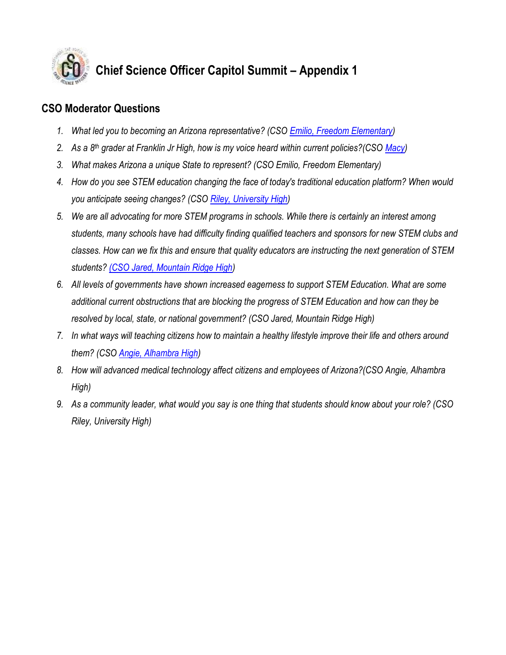

### **Chief Science Officer Capitol Summit – Appendix 1**

#### **CSO Moderator Questions**

- *1. What led you to becoming an Arizona representative? (CSO [Emilio, Freedom Elementary\)](http://chiefscienceofficers.org/cso-cabinet/emilio_freedomeschiefscienceofficers-org/)*
- *2. As a 8th grader at Franklin Jr High, how is my voice heard within current policies?(CSO [Macy\)](http://chiefscienceofficers.org/cso-cabinet/macy_franklinjrchiefscienceofficers-org/)*
- *3. What makes Arizona a unique State to represent? (CSO Emilio, Freedom Elementary)*
- *4. How do you see STEM education changing the face of today's traditional education platform? When would you anticipate seeing changes? (CSO [Riley, University High\)](http://chiefscienceofficers.org/cso-cabinet/riley_universityhschiefscienceofficers-org/)*
- *5. We are all advocating for more STEM programs in schools. While there is certainly an interest among students, many schools have had difficulty finding qualified teachers and sponsors for new STEM clubs and classes. How can we fix this and ensure that quality educators are instructing the next generation of STEM students? [\(CSO Jared, Mountain Ridge High\)](http://chiefscienceofficers.org/cso-cabinet/jared_mtnridgehschiefscienceofficers-org/)*
- *6. All levels of governments have shown increased eagerness to support STEM Education. What are some additional current obstructions that are blocking the progress of STEM Education and how can they be resolved by local, state, or national government? (CSO Jared, Mountain Ridge High)*
- *7. In what ways will teaching citizens how to maintain a healthy lifestyle improve their life and others around them? (CSO [Angie, Alhambra High\)](http://chiefscienceofficers.org/cso-cabinet/angiealhambrahschiefscienceofficers-org/)*
- *8. How will advanced medical technology affect citizens and employees of Arizona?(CSO Angie, Alhambra High)*
- *9. As a community leader, what would you say is one thing that students should know about your role? (CSO Riley, University High)*